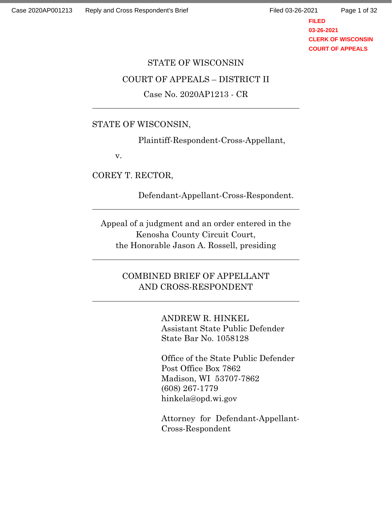Page 1 of 32

**FILED 03-26-2021 CLERK OF WISCONSIN COURT OF APPEALS**

# STATE OF WISCONSIN COURT OF APPEALS – DISTRICT II Case No. 2020AP1213 - CR

## STATE OF WISCONSIN,

Plaintiff-Respondent-Cross-Appellant,

v.

COREY T. RECTOR,

Defendant-Appellant-Cross-Respondent.

Appeal of a judgment and an order entered in the Kenosha County Circuit Court, the Honorable Jason A. Rossell, presiding

## COMBINED BRIEF OF APPELLANT AND CROSS-RESPONDENT

ANDREW R. HINKEL Assistant State Public Defender State Bar No. 1058128

Office of the State Public Defender Post Office Box 7862 Madison, WI 53707-7862 (608) 267-1779 hinkela@opd.wi.gov

Attorney for Defendant-Appellant-Cross-Respondent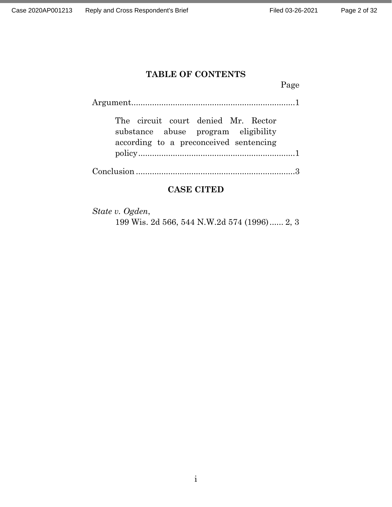## **TABLE OF CONTENTS**

Page

| substance abuse program eligibility<br>according to a preconceived sentencing |
|-------------------------------------------------------------------------------|
|                                                                               |

Conclusion .....................................................................3

## **CASE CITED**

*State v. Ogden*, 199 Wis. 2d 566, 544 N.W.2d 574 (1996)...... 2, 3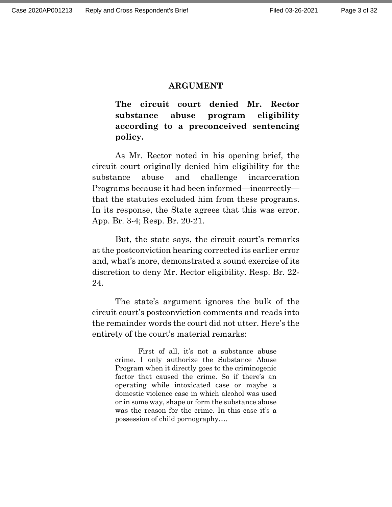#### **ARGUMENT**

**The circuit court denied Mr. Rector substance abuse program eligibility according to a preconceived sentencing policy.**

As Mr. Rector noted in his opening brief, the circuit court originally denied him eligibility for the substance abuse and challenge incarceration Programs because it had been informed—incorrectly that the statutes excluded him from these programs. In its response, the State agrees that this was error. App. Br. 3-4; Resp. Br. 20-21.

But, the state says, the circuit court's remarks at the postconviction hearing corrected its earlier error and, what's more, demonstrated a sound exercise of its discretion to deny Mr. Rector eligibility. Resp. Br. 22- 24.

The state's argument ignores the bulk of the circuit court's postconviction comments and reads into the remainder words the court did not utter. Here's the entirety of the court's material remarks:

> First of all, it's not a substance abuse crime. I only authorize the Substance Abuse Program when it directly goes to the criminogenic factor that caused the crime. So if there's an operating while intoxicated case or maybe a domestic violence case in which alcohol was used or in some way, shape or form the substance abuse was the reason for the crime. In this case it's a possession of child pornography….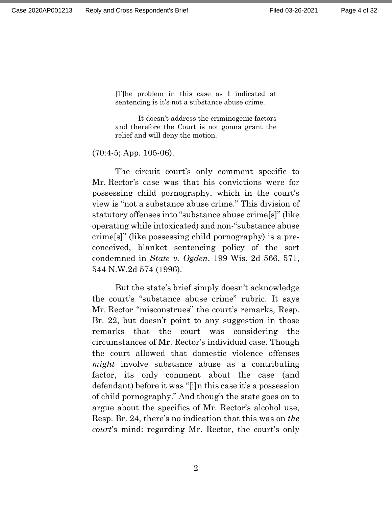[T]he problem in this case as I indicated at sentencing is it's not a substance abuse crime.

It doesn't address the criminogenic factors and therefore the Court is not gonna grant the relief and will deny the motion.

(70:4-5; App. 105-06).

The circuit court's only comment specific to Mr. Rector's case was that his convictions were for possessing child pornography, which in the court's view is "not a substance abuse crime." This division of statutory offenses into "substance abuse crime[s]" (like operating while intoxicated) and non-"substance abuse crime[s]" (like possessing child pornography) is a preconceived, blanket sentencing policy of the sort condemned in *State v. Ogden*, 199 Wis. 2d 566, 571, 544 N.W.2d 574 (1996).

But the state's brief simply doesn't acknowledge the court's "substance abuse crime" rubric. It says Mr. Rector "misconstrues" the court's remarks, Resp. Br. 22, but doesn't point to any suggestion in those remarks that the court was considering the circumstances of Mr. Rector's individual case. Though the court allowed that domestic violence offenses *might* involve substance abuse as a contributing factor, its only comment about the case (and defendant) before it was "[i]n this case it's a possession of child pornography." And though the state goes on to argue about the specifics of Mr. Rector's alcohol use, Resp. Br. 24, there's no indication that this was on *the court*'s mind: regarding Mr. Rector, the court's only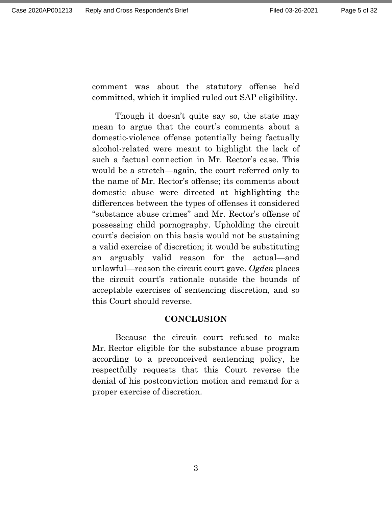comment was about the statutory offense he'd committed, which it implied ruled out SAP eligibility.

Though it doesn't quite say so, the state may mean to argue that the court's comments about a domestic-violence offense potentially being factually alcohol-related were meant to highlight the lack of such a factual connection in Mr. Rector's case. This would be a stretch—again, the court referred only to the name of Mr. Rector's offense; its comments about domestic abuse were directed at highlighting the differences between the types of offenses it considered "substance abuse crimes" and Mr. Rector's offense of possessing child pornography. Upholding the circuit court's decision on this basis would not be sustaining a valid exercise of discretion; it would be substituting an arguably valid reason for the actual—and unlawful—reason the circuit court gave. *Ogden* places the circuit court's rationale outside the bounds of acceptable exercises of sentencing discretion, and so this Court should reverse.

#### **CONCLUSION**

Because the circuit court refused to make Mr. Rector eligible for the substance abuse program according to a preconceived sentencing policy, he respectfully requests that this Court reverse the denial of his postconviction motion and remand for a proper exercise of discretion.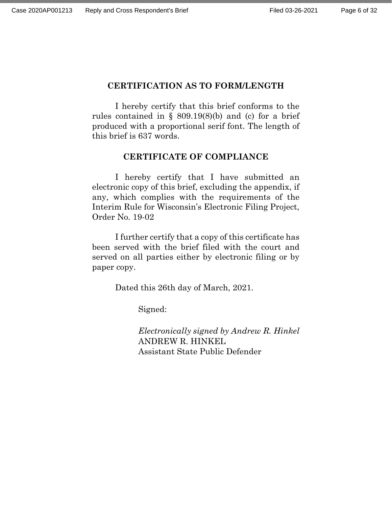## **CERTIFICATION AS TO FORM/LENGTH**

I hereby certify that this brief conforms to the rules contained in  $\S$  809.19(8)(b) and (c) for a brief produced with a proportional serif font. The length of this brief is 637 words.

## **CERTIFICATE OF COMPLIANCE**

I hereby certify that I have submitted an electronic copy of this brief, excluding the appendix, if any, which complies with the requirements of the Interim Rule for Wisconsin's Electronic Filing Project, Order No. 19-02

I further certify that a copy of this certificate has been served with the brief filed with the court and served on all parties either by electronic filing or by paper copy.

Dated this 26th day of March, 2021.

Signed:

*Electronically signed by Andrew R. Hinkel* ANDREW R. HINKEL Assistant State Public Defender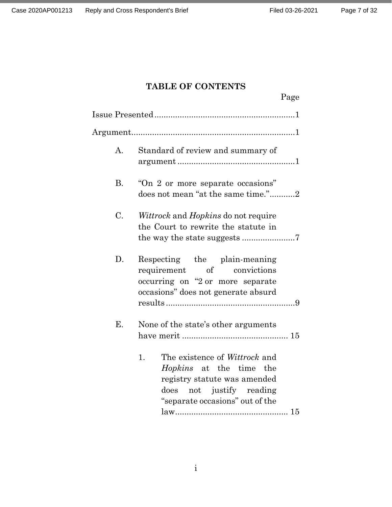## **TABLE OF CONTENTS**

|             | Page                                                                                                                                                                 |
|-------------|----------------------------------------------------------------------------------------------------------------------------------------------------------------------|
|             |                                                                                                                                                                      |
|             |                                                                                                                                                                      |
| $A_{\cdot}$ | Standard of review and summary of                                                                                                                                    |
| <b>B.</b>   | "On 2 or more separate occasions"<br>does not mean "at the same time."2                                                                                              |
| C.          | <i>Wittrock</i> and <i>Hopkins</i> do not require<br>the Court to rewrite the statute in                                                                             |
| D.          | Respecting the plain-meaning<br>requirement of convictions<br>occurring on "2 or more separate<br>occasions" does not generate absurd                                |
| Е.          | None of the state's other arguments                                                                                                                                  |
|             | The existence of Wittrock and<br>1.<br><i>Hopkins</i> at the time the<br>registry statute was amended<br>does not justify reading<br>"separate occasions" out of the |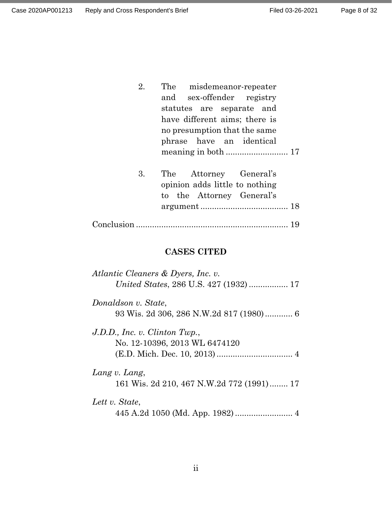| The misdemeanor-repeater      |
|-------------------------------|
| and sex-offender registry     |
| statutes are separate and     |
| have different aims; there is |
| no presumption that the same  |
| phrase have an identical      |
|                               |
|                               |

3. The Attorney General's opinion adds little to nothing to the Attorney General's argument...................................... 18

|--|--|--|--|

## **CASES CITED**

| Atlantic Cleaners & Dyers, Inc. v.                             |
|----------------------------------------------------------------|
| Donaldson v. State,                                            |
| J.D.D., Inc. v. Clinton Twp.,<br>No. 12-10396, 2013 WL 6474120 |
| Lang v. Lang,<br>161 Wis. 2d 210, 467 N.W.2d 772 (1991) 17     |
| Lett v. State,                                                 |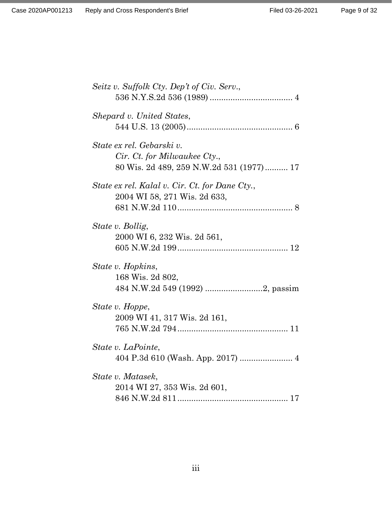| Seitz v. Suffolk Cty. Dep't of Civ. Serv.,                                                            |
|-------------------------------------------------------------------------------------------------------|
| Shepard v. United States,                                                                             |
| State ex rel. Gebarski v.<br>Cir. Ct. for Milwaukee Cty.,<br>80 Wis. 2d 489, 259 N.W.2d 531 (1977) 17 |
| State ex rel. Kalal v. Cir. Ct. for Dane Cty.,<br>2004 WI 58, 271 Wis. 2d 633,                        |
| State v. Bollig,<br>2000 WI 6, 232 Wis. 2d 561,                                                       |
| State v. Hopkins,<br>168 Wis. 2d 802,<br>484 N.W.2d 549 (1992) 2, passim                              |
| State v. Hoppe,<br>2009 WI 41, 317 Wis. 2d 161,                                                       |
| State v. LaPointe,<br>404 P.3d 610 (Wash. App. 2017)  4                                               |
| State v. Matasek,<br>2014 WI 27, 353 Wis. 2d 601,                                                     |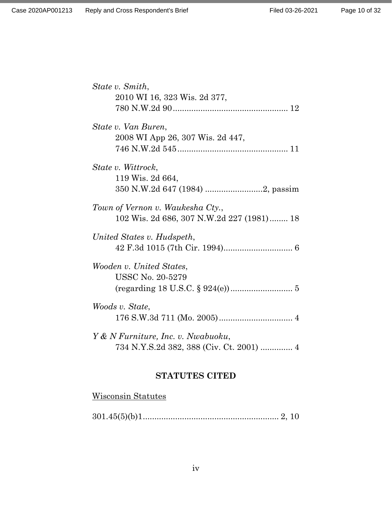| State v. Smith,<br>2010 WI 16, 323 Wis. 2d 377,                               |
|-------------------------------------------------------------------------------|
| State v. Van Buren,<br>2008 WI App 26, 307 Wis. 2d 447,                       |
| State v. Wittrock,<br>119 Wis. 2d 664,                                        |
| Town of Vernon v. Waukesha Cty.,<br>102 Wis. 2d 686, 307 N.W.2d 227 (1981) 18 |
| United States v. Hudspeth,                                                    |
| Wooden v. United States,<br><b>USSC No. 20-5279</b>                           |
| Woods v. State,                                                               |
| Y & N Furniture, Inc. v. Nwabuoku,                                            |

## **STATUTES CITED**

## Wisconsin Statutes

301.45(5)(b)1........................................................... 2, 10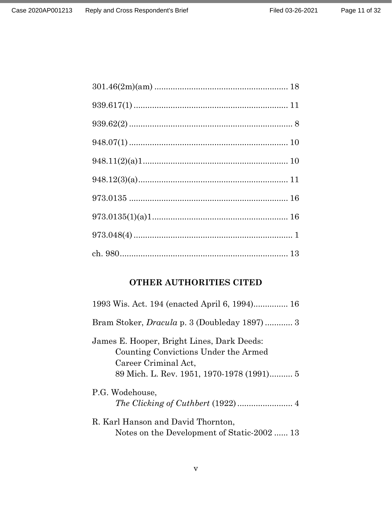Page 11 of 32

## **OTHER AUTHORITIES CITED**

| 1993 Wis. Act. 194 (enacted April 6, 1994) 16                                                                                                           |
|---------------------------------------------------------------------------------------------------------------------------------------------------------|
| Bram Stoker, <i>Dracula</i> p. 3 (Doubleday 1897) 3                                                                                                     |
| James E. Hooper, Bright Lines, Dark Deeds:<br>Counting Convictions Under the Armed<br>Career Criminal Act,<br>89 Mich. L. Rev. 1951, 1970-1978 (1991) 5 |
| P.G. Wodehouse,                                                                                                                                         |
| R. Karl Hanson and David Thornton,<br>Notes on the Development of Static-2002  13                                                                       |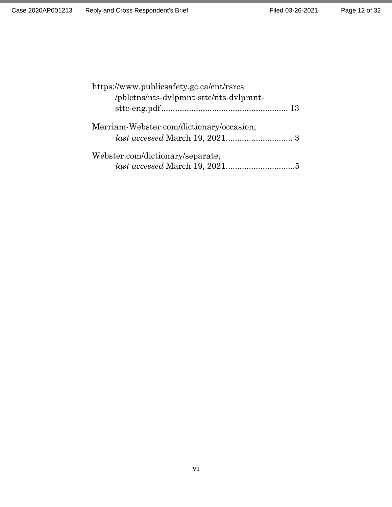| https://www.publicsafety.gc.ca/cnt/rsrcs |  |
|------------------------------------------|--|
| /pblctns/nts-dvlpmnt-sttc/nts-dvlpmnt-   |  |
|                                          |  |
| Merriam-Webster.com/dictionary/occasion, |  |
|                                          |  |
| Webster.com/dictionary/separate,         |  |
|                                          |  |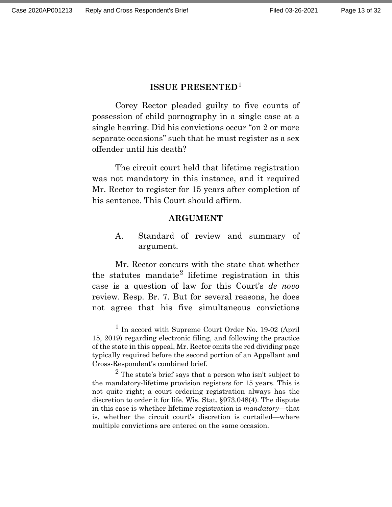### **ISSUE PRESENTED**[1](#page-12-0)

Corey Rector pleaded guilty to five counts of possession of child pornography in a single case at a single hearing. Did his convictions occur "on 2 or more separate occasions" such that he must register as a sex offender until his death?

The circuit court held that lifetime registration was not mandatory in this instance, and it required Mr. Rector to register for 15 years after completion of his sentence. This Court should affirm.

#### **ARGUMENT**

A. Standard of review and summary of argument.

Mr. Rector concurs with the state that whether the statutes mandate<sup>[2](#page-12-1)</sup> lifetime registration in this case is a question of law for this Court's *de novo* review. Resp. Br. 7. But for several reasons, he does not agree that his five simultaneous convictions

<span id="page-12-0"></span> <sup>1</sup> In accord with Supreme Court Order No. 19-02 (April 15, 2019) regarding electronic filing, and following the practice of the state in this appeal, Mr. Rector omits the red dividing page typically required before the second portion of an Appellant and Cross-Respondent's combined brief.

<span id="page-12-1"></span> $2$  The state's brief says that a person who isn't subject to the mandatory-lifetime provision registers for 15 years. This is not quite right; a court ordering registration always has the discretion to order it for life. Wis. Stat. §973.048(4). The dispute in this case is whether lifetime registration is *mandatory*—that is, whether the circuit court's discretion is curtailed—where multiple convictions are entered on the same occasion.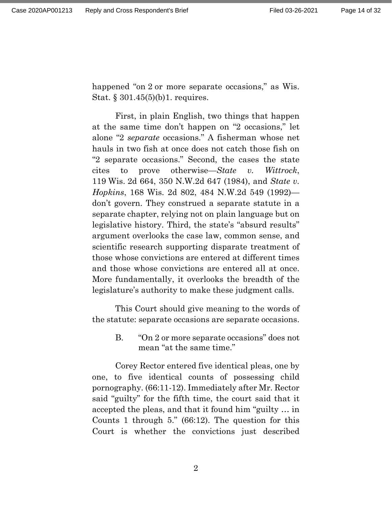happened "on 2 or more separate occasions," as Wis. Stat. § 301.45(5)(b)1. requires.

First, in plain English, two things that happen at the same time don't happen on "2 occasions," let alone "2 *separate* occasions." A fisherman whose net hauls in two fish at once does not catch those fish on "2 separate occasions." Second, the cases the state cites to prove otherwise—*State v. Wittrock*, 119 Wis. 2d 664, 350 N.W.2d 647 (1984), and *State v. Hopkins*, 168 Wis. 2d 802, 484 N.W.2d 549 (1992) don't govern. They construed a separate statute in a separate chapter, relying not on plain language but on legislative history. Third, the state's "absurd results" argument overlooks the case law, common sense, and scientific research supporting disparate treatment of those whose convictions are entered at different times and those whose convictions are entered all at once. More fundamentally, it overlooks the breadth of the legislature's authority to make these judgment calls.

This Court should give meaning to the words of the statute: separate occasions are separate occasions.

> B. "On 2 or more separate occasions" does not mean "at the same time."

Corey Rector entered five identical pleas, one by one, to five identical counts of possessing child pornography. (66:11-12). Immediately after Mr. Rector said "guilty" for the fifth time, the court said that it accepted the pleas, and that it found him "guilty … in Counts 1 through 5." (66:12). The question for this Court is whether the convictions just described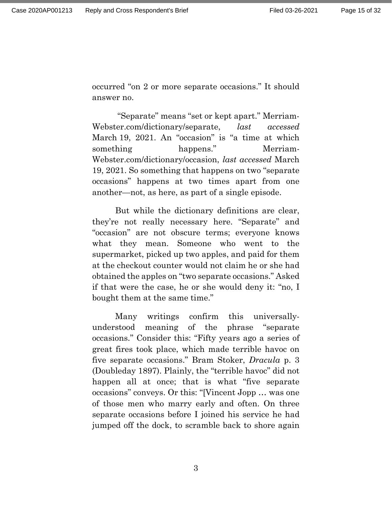occurred "on 2 or more separate occasions." It should answer no.

"Separate" means "set or kept apart." Merriam-Webster.com/dictionary/separate, *last accessed* March 19, 2021. An "occasion" is "a time at which something happens." Merriam-Webster.com/dictionary/occasion, *last accessed* March 19, 2021. So something that happens on two "separate occasions" happens at two times apart from one another—not, as here, as part of a single episode.

But while the dictionary definitions are clear, they're not really necessary here. "Separate" and "occasion" are not obscure terms; everyone knows what they mean. Someone who went to the supermarket, picked up two apples, and paid for them at the checkout counter would not claim he or she had obtained the apples on "two separate occasions." Asked if that were the case, he or she would deny it: "no, I bought them at the same time."

Many writings confirm this universallyunderstood meaning of the phrase "separate occasions." Consider this: "Fifty years ago a series of great fires took place, which made terrible havoc on five separate occasions." Bram Stoker, *Dracula* p. 3 (Doubleday 1897). Plainly, the "terrible havoc" did not happen all at once; that is what "five separate occasions" conveys. Or this: "[Vincent Jopp … was one of those men who marry early and often. On three separate occasions before I joined his service he had jumped off the dock, to scramble back to shore again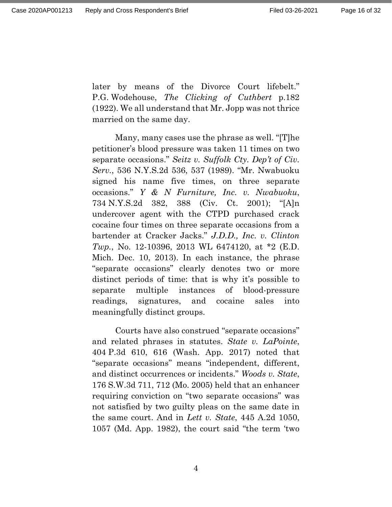later by means of the Divorce Court lifebelt." P.G. Wodehouse, *The Clicking of Cuthbert* p.182 (1922). We all understand that Mr. Jopp was not thrice married on the same day.

Many, many cases use the phrase as well. "[T]he petitioner's blood pressure was taken 11 times on two separate occasions." *Seitz v. Suffolk Cty. Dep't of Civ. Serv.*, 536 N.Y.S.2d 536, 537 (1989). "Mr. Nwabuoku signed his name five times, on three separate occasions." *Y & N Furniture, Inc. v. Nwabuoku*, 734 N.Y.S.2d 382, 388 (Civ. Ct. 2001); "[A]n undercover agent with the CTPD purchased crack cocaine four times on three separate occasions from a bartender at Cracker Jacks." *J.D.D., Inc. v. Clinton Twp.*, No. 12-10396, 2013 WL 6474120, at \*2 (E.D. Mich. Dec. 10, 2013). In each instance, the phrase "separate occasions" clearly denotes two or more distinct periods of time: that is why it's possible to separate multiple instances of blood-pressure readings, signatures, and cocaine sales into meaningfully distinct groups.

Courts have also construed "separate occasions" and related phrases in statutes. *State v. LaPointe*, 404 P.3d 610, 616 (Wash. App. 2017) noted that "separate occasions" means "independent, different, and distinct occurrences or incidents." *Woods v. State*, 176 S.W.3d 711, 712 (Mo. 2005) held that an enhancer requiring conviction on "two separate occasions" was not satisfied by two guilty pleas on the same date in the same court. And in *Lett v. State*, 445 A.2d 1050, 1057 (Md. App. 1982), the court said "the term 'two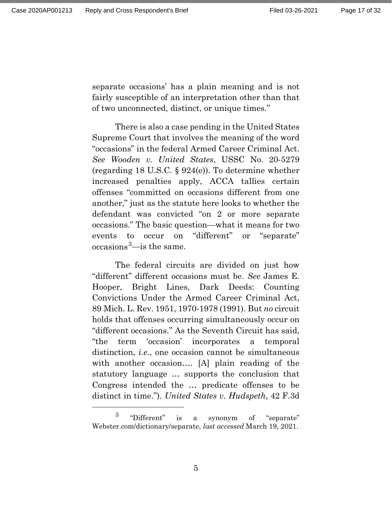separate occasions' has a plain meaning and is not fairly susceptible of an interpretation other than that of two unconnected, distinct, or unique times."

There is also a case pending in the United States Supreme Court that involves the meaning of the word "occasions" in the federal Armed Career Criminal Act. *See Wooden v. United States*, USSC No. 20-5279 (regarding 18 U.S.C. § 924(e)). To determine whether increased penalties apply, ACCA tallies certain offenses "committed on occasions different from one another," just as the statute here looks to whether the defendant was convicted "on 2 or more separate occasions." The basic question—what it means for two events to occur on "different" or "separate"  $occasions<sup>3</sup>$ —is the same.

The federal circuits are divided on just how "different" different occasions must be. *See* James E. Hooper, Bright Lines, Dark Deeds: Counting Convictions Under the Armed Career Criminal Act, 89 Mich. L. Rev. 1951, 1970-1978 (1991). But *no* circuit holds that offenses occurring simultaneously occur on "different occasions." As the Seventh Circuit has said, "the term 'occasion' incorporates a temporal distinction, *i.e.*, one occasion cannot be simultaneous with another occasion…. [A] plain reading of the statutory language … supports the conclusion that Congress intended the … predicate offenses to be distinct in time."). *United States v. Hudspeth*, 42 F.3d

<span id="page-16-0"></span> <sup>3</sup> "Different" is a synonym of "separate" Webster.com/dictionary/separate, *last accessed* March 19, 2021.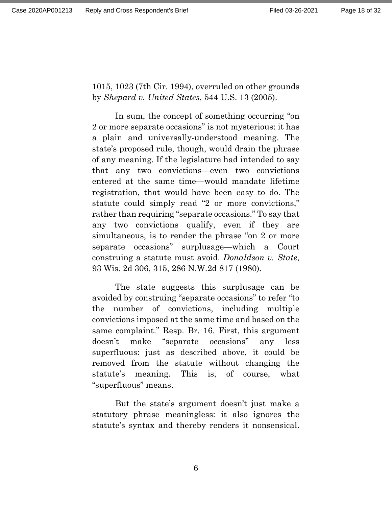1015, 1023 (7th Cir. 1994), overruled on other grounds by *Shepard v. United States*, 544 U.S. 13 (2005).

In sum, the concept of something occurring "on 2 or more separate occasions" is not mysterious: it has a plain and universally-understood meaning. The state's proposed rule, though, would drain the phrase of any meaning. If the legislature had intended to say that any two convictions—even two convictions entered at the same time—would mandate lifetime registration, that would have been easy to do. The statute could simply read "2 or more convictions," rather than requiring "separate occasions." To say that any two convictions qualify, even if they are simultaneous, is to render the phrase "on 2 or more separate occasions" surplusage—which a Court construing a statute must avoid. *Donaldson v. State*, 93 Wis. 2d 306, 315, 286 N.W.2d 817 (1980).

The state suggests this surplusage can be avoided by construing "separate occasions" to refer "to the number of convictions, including multiple convictions imposed at the same time and based on the same complaint." Resp. Br. 16. First, this argument doesn't make "separate occasions" any less superfluous: just as described above, it could be removed from the statute without changing the statute's meaning. This is, of course, what "superfluous" means.

But the state's argument doesn't just make a statutory phrase meaningless: it also ignores the statute's syntax and thereby renders it nonsensical.

6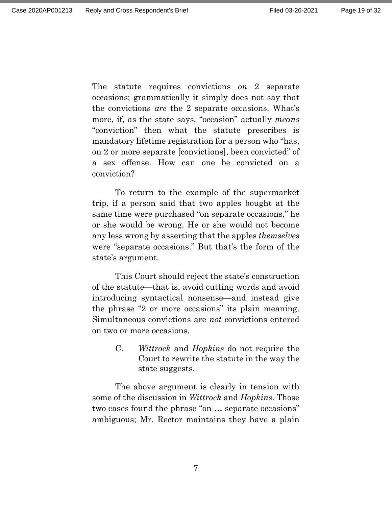The statute requires convictions *on* 2 separate occasions; grammatically it simply does not say that the convictions *are* the 2 separate occasions. What's more, if, as the state says, "occasion" actually *means* "conviction" then what the statute prescribes is mandatory lifetime registration for a person who "has, on 2 or more separate [convictions], been convicted" of a sex offense. How can one be convicted on a conviction?

To return to the example of the supermarket trip, if a person said that two apples bought at the same time were purchased "on separate occasions," he or she would be wrong. He or she would not become any less wrong by asserting that the apples *themselves* were "separate occasions." But that's the form of the state's argument.

This Court should reject the state's construction of the statute—that is, avoid cutting words and avoid introducing syntactical nonsense—and instead give the phrase "2 or more occasions" its plain meaning. Simultaneous convictions are *not* convictions entered on two or more occasions.

> C. *Wittrock* and *Hopkins* do not require the Court to rewrite the statute in the way the state suggests.

The above argument is clearly in tension with some of the discussion in *Wittrock* and *Hopkins*. Those two cases found the phrase "on … separate occasions" ambiguous; Mr. Rector maintains they have a plain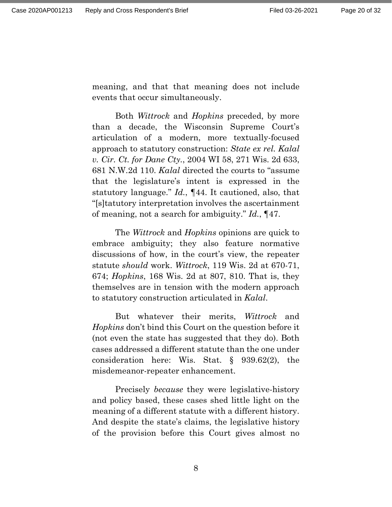meaning, and that that meaning does not include events that occur simultaneously.

Both *Wittrock* and *Hopkins* preceded, by more than a decade, the Wisconsin Supreme Court's articulation of a modern, more textually-focused approach to statutory construction: *State ex rel. Kalal v. Cir. Ct. for Dane Cty.*, 2004 WI 58, 271 Wis. 2d 633, 681 N.W.2d 110. *Kalal* directed the courts to "assume that the legislature's intent is expressed in the statutory language." *Id.*, ¶44. It cautioned, also, that "[s]tatutory interpretation involves the ascertainment of meaning, not a search for ambiguity." *Id.*, ¶47.

The *Wittrock* and *Hopkins* opinions are quick to embrace ambiguity; they also feature normative discussions of how, in the court's view, the repeater statute *should* work. *Wittrock*, 119 Wis. 2d at 670-71, 674; *Hopkins*, 168 Wis. 2d at 807, 810. That is, they themselves are in tension with the modern approach to statutory construction articulated in *Kalal*.

But whatever their merits, *Wittrock* and *Hopkins* don't bind this Court on the question before it (not even the state has suggested that they do). Both cases addressed a different statute than the one under consideration here: Wis. Stat. § 939.62(2), the misdemeanor-repeater enhancement.

Precisely *because* they were legislative-history and policy based, these cases shed little light on the meaning of a different statute with a different history. And despite the state's claims, the legislative history of the provision before this Court gives almost no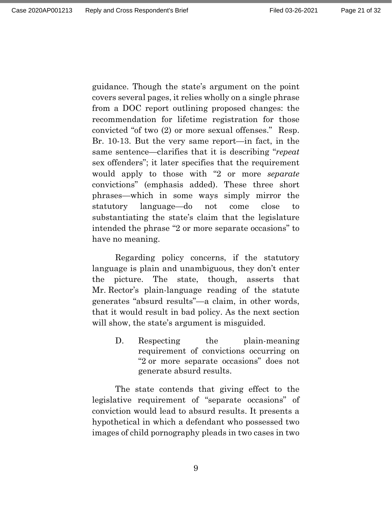guidance. Though the state's argument on the point covers several pages, it relies wholly on a single phrase from a DOC report outlining proposed changes: the recommendation for lifetime registration for those convicted "of two (2) or more sexual offenses." Resp. Br. 10-13. But the very same report—in fact, in the same sentence—clarifies that it is describing "*repeat* sex offenders"; it later specifies that the requirement would apply to those with "2 or more *separate* convictions" (emphasis added). These three short phrases—which in some ways simply mirror the statutory language—do not come close to substantiating the state's claim that the legislature intended the phrase "2 or more separate occasions" to have no meaning.

Regarding policy concerns, if the statutory language is plain and unambiguous, they don't enter the picture. The state, though, asserts that Mr. Rector's plain-language reading of the statute generates "absurd results"—a claim, in other words, that it would result in bad policy. As the next section will show, the state's argument is misguided.

> D. Respecting the plain-meaning requirement of convictions occurring on "2 or more separate occasions" does not generate absurd results.

The state contends that giving effect to the legislative requirement of "separate occasions" of conviction would lead to absurd results. It presents a hypothetical in which a defendant who possessed two images of child pornography pleads in two cases in two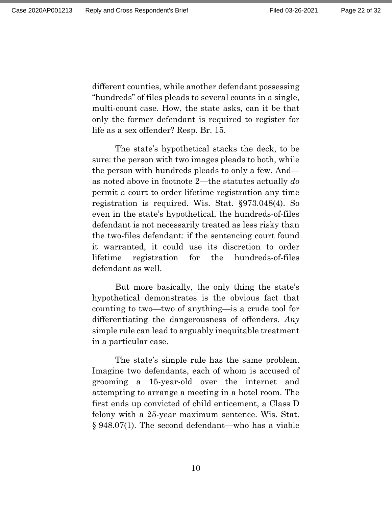different counties, while another defendant possessing "hundreds" of files pleads to several counts in a single, multi-count case. How, the state asks, can it be that only the former defendant is required to register for life as a sex offender? Resp. Br. 15.

The state's hypothetical stacks the deck, to be sure: the person with two images pleads to both, while the person with hundreds pleads to only a few. And as noted above in footnote 2—the statutes actually *do* permit a court to order lifetime registration any time registration is required. Wis. Stat. §973.048(4). So even in the state's hypothetical, the hundreds-of-files defendant is not necessarily treated as less risky than the two-files defendant: if the sentencing court found it warranted, it could use its discretion to order lifetime registration for the hundreds-of-files defendant as well.

But more basically, the only thing the state's hypothetical demonstrates is the obvious fact that counting to two—two of anything—is a crude tool for differentiating the dangerousness of offenders. *Any* simple rule can lead to arguably inequitable treatment in a particular case.

The state's simple rule has the same problem. Imagine two defendants, each of whom is accused of grooming a 15-year-old over the internet and attempting to arrange a meeting in a hotel room. The first ends up convicted of child enticement, a Class D felony with a 25-year maximum sentence. Wis. Stat. § 948.07(1). The second defendant—who has a viable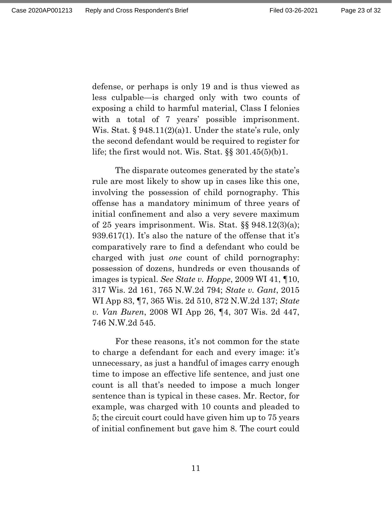defense, or perhaps is only 19 and is thus viewed as less culpable—is charged only with two counts of exposing a child to harmful material, Class I felonies with a total of 7 years' possible imprisonment. Wis. Stat.  $\S 948.11(2)(a)1$ . Under the state's rule, only the second defendant would be required to register for life; the first would not. Wis. Stat.  $\S$ § 301.45(5)(b)1.

The disparate outcomes generated by the state's rule are most likely to show up in cases like this one, involving the possession of child pornography. This offense has a mandatory minimum of three years of initial confinement and also a very severe maximum of 25 years imprisonment. Wis. Stat. §§ 948.12(3)(a); 939.617(1). It's also the nature of the offense that it's comparatively rare to find a defendant who could be charged with just *one* count of child pornography: possession of dozens, hundreds or even thousands of images is typical. *See State v. Hoppe*, 2009 WI 41, ¶10, 317 Wis. 2d 161, 765 N.W.2d 794; *State v. Gant*, 2015 WI App 83, ¶7, 365 Wis. 2d 510, 872 N.W.2d 137; *State v. Van Buren*, 2008 WI App 26, ¶4, 307 Wis. 2d 447, 746 N.W.2d 545.

For these reasons, it's not common for the state to charge a defendant for each and every image: it's unnecessary, as just a handful of images carry enough time to impose an effective life sentence, and just one count is all that's needed to impose a much longer sentence than is typical in these cases. Mr. Rector, for example, was charged with 10 counts and pleaded to 5; the circuit court could have given him up to 75 years of initial confinement but gave him 8. The court could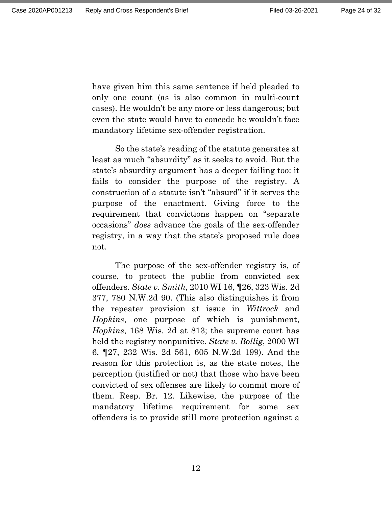have given him this same sentence if he'd pleaded to only one count (as is also common in multi-count cases). He wouldn't be any more or less dangerous; but even the state would have to concede he wouldn't face mandatory lifetime sex-offender registration.

So the state's reading of the statute generates at least as much "absurdity" as it seeks to avoid. But the state's absurdity argument has a deeper failing too: it fails to consider the purpose of the registry. A construction of a statute isn't "absurd" if it serves the purpose of the enactment. Giving force to the requirement that convictions happen on "separate occasions" *does* advance the goals of the sex-offender registry, in a way that the state's proposed rule does not.

The purpose of the sex-offender registry is, of course, to protect the public from convicted sex offenders. *State v. Smith*, 2010 WI 16, ¶26, 323 Wis. 2d 377, 780 N.W.2d 90. (This also distinguishes it from the repeater provision at issue in *Wittrock* and *Hopkins*, one purpose of which is punishment, *Hopkins*, 168 Wis. 2d at 813; the supreme court has held the registry nonpunitive. *State v. Bollig*, 2000 WI 6, ¶27, 232 Wis. 2d 561, 605 N.W.2d 199). And the reason for this protection is, as the state notes, the perception (justified or not) that those who have been convicted of sex offenses are likely to commit more of them. Resp. Br. 12. Likewise, the purpose of the mandatory lifetime requirement for some sex offenders is to provide still more protection against a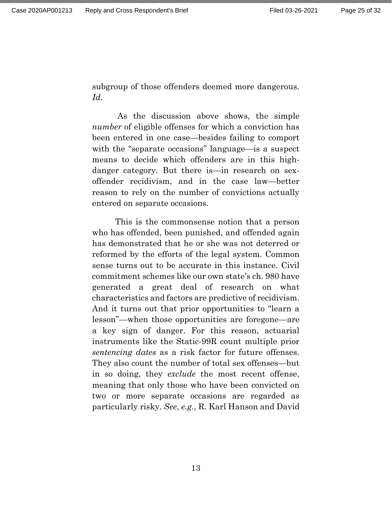subgroup of those offenders deemed more dangerous. *Id.*

As the discussion above shows, the simple *number* of eligible offenses for which a conviction has been entered in one case—besides failing to comport with the "separate occasions" language—is a suspect means to decide which offenders are in this highdanger category. But there is—in research on sexoffender recidivism, and in the case law—better reason to rely on the number of convictions actually entered on separate occasions.

This is the commonsense notion that a person who has offended, been punished, and offended again has demonstrated that he or she was not deterred or reformed by the efforts of the legal system. Common sense turns out to be accurate in this instance. Civil commitment schemes like our own state's ch. 980 have generated a great deal of research on what characteristics and factors are predictive of recidivism. And it turns out that prior opportunities to "learn a lesson"—when those opportunities are foregone—are a key sign of danger. For this reason, actuarial instruments like the Static-99R count multiple prior *sentencing dates* as a risk factor for future offenses. They also count the number of total sex offenses—but in so doing, they *exclude* the most recent offense, meaning that only those who have been convicted on two or more separate occasions are regarded as particularly risky. *See*, *e.g.*, R. Karl Hanson and David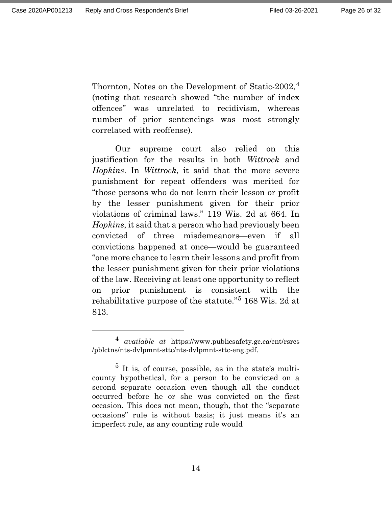Thornton, Notes on the Development of Static-2002,<sup>[4](#page-25-0)</sup> (noting that research showed "the number of index offences" was unrelated to recidivism, whereas number of prior sentencings was most strongly correlated with reoffense).

Our supreme court also relied on this justification for the results in both *Wittrock* and *Hopkins*. In *Wittrock*, it said that the more severe punishment for repeat offenders was merited for "those persons who do not learn their lesson or profit by the lesser punishment given for their prior violations of criminal laws." 119 Wis. 2d at 664. In *Hopkins*, it said that a person who had previously been convicted of three misdemeanors—even if all convictions happened at once—would be guaranteed "one more chance to learn their lessons and profit from the lesser punishment given for their prior violations of the law. Receiving at least one opportunity to reflect on prior punishment is consistent with the rehabilitative purpose of the statute."[5](#page-25-1) 168 Wis. 2d at 813.

<span id="page-25-0"></span> <sup>4</sup> *available at* https://www.publicsafety.gc.ca/cnt/rsrcs /pblctns/nts-dvlpmnt-sttc/nts-dvlpmnt-sttc-eng.pdf.

<span id="page-25-1"></span> $5$  It is, of course, possible, as in the state's multicounty hypothetical, for a person to be convicted on a second separate occasion even though all the conduct occurred before he or she was convicted on the first occasion. This does not mean, though, that the "separate occasions" rule is without basis; it just means it's an imperfect rule, as any counting rule would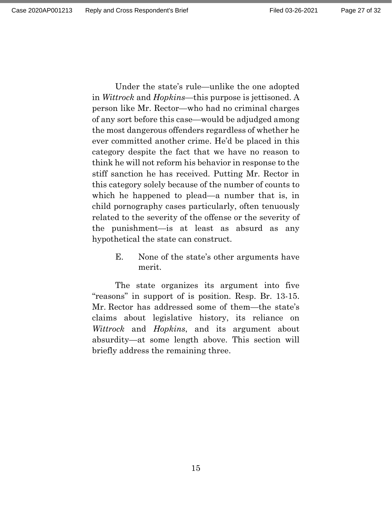Under the state's rule—unlike the one adopted in *Wittrock* and *Hopkins*—this purpose is jettisoned. A person like Mr. Rector—who had no criminal charges of any sort before this case—would be adjudged among the most dangerous offenders regardless of whether he ever committed another crime. He'd be placed in this category despite the fact that we have no reason to think he will not reform his behavior in response to the stiff sanction he has received. Putting Mr. Rector in this category solely because of the number of counts to

which he happened to plead—a number that is, in child pornography cases particularly, often tenuously related to the severity of the offense or the severity of the punishment—is at least as absurd as any hypothetical the state can construct.

> E. None of the state's other arguments have merit.

The state organizes its argument into five "reasons" in support of is position. Resp. Br. 13-15. Mr. Rector has addressed some of them—the state's claims about legislative history, its reliance on *Wittrock* and *Hopkins*, and its argument about absurdity—at some length above. This section will briefly address the remaining three.

15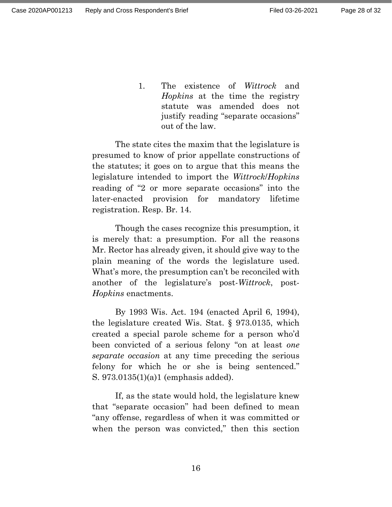1. The existence of *Wittrock* and *Hopkins* at the time the registry statute was amended does not justify reading "separate occasions" out of the law.

The state cites the maxim that the legislature is presumed to know of prior appellate constructions of the statutes; it goes on to argue that this means the legislature intended to import the *Wittrock*/*Hopkins* reading of "2 or more separate occasions" into the later-enacted provision for mandatory lifetime registration. Resp. Br. 14.

Though the cases recognize this presumption, it is merely that: a presumption. For all the reasons Mr. Rector has already given, it should give way to the plain meaning of the words the legislature used. What's more, the presumption can't be reconciled with another of the legislature's post-*Wittrock*, post-*Hopkins* enactments.

By 1993 Wis. Act. 194 (enacted April 6, 1994), the legislature created Wis. Stat. § 973.0135, which created a special parole scheme for a person who'd been convicted of a serious felony "on at least *one separate occasion* at any time preceding the serious felony for which he or she is being sentenced." S. 973.0135(1)(a)1 (emphasis added).

If, as the state would hold, the legislature knew that "separate occasion" had been defined to mean "any offense, regardless of when it was committed or when the person was convicted," then this section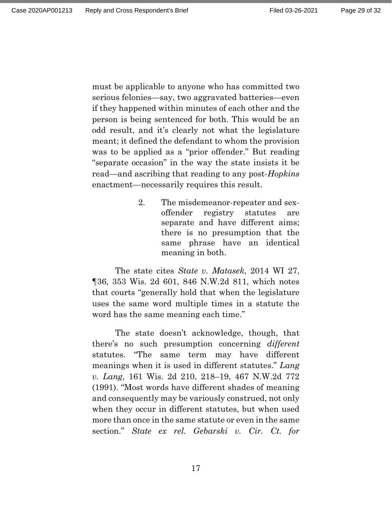must be applicable to anyone who has committed two serious felonies—say, two aggravated batteries—even if they happened within minutes of each other and the person is being sentenced for both. This would be an odd result, and it's clearly not what the legislature meant; it defined the defendant to whom the provision was to be applied as a "prior offender." But reading "separate occasion" in the way the state insists it be read—and ascribing that reading to any post-*Hopkins* enactment—necessarily requires this result.

> 2. The misdemeanor-repeater and sexoffender registry statutes are separate and have different aims; there is no presumption that the same phrase have an identical meaning in both.

The state cites *State v. Matasek*, 2014 WI 27, ¶36, 353 Wis. 2d 601, 846 N.W.2d 811, which notes that courts "generally hold that when the legislature uses the same word multiple times in a statute the word has the same meaning each time."

The state doesn't acknowledge, though, that there's no such presumption concerning *different* statutes. "The same term may have different meanings when it is used in different statutes." *Lang v. Lang*, 161 Wis. 2d 210, 218–19, 467 N.W.2d 772 (1991). "Most words have different shades of meaning and consequently may be variously construed, not only when they occur in different statutes, but when used more than once in the same statute or even in the same section." *State ex rel. Gebarski v. Cir. Ct. for*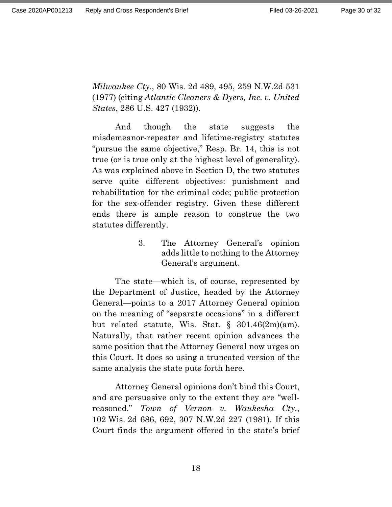*Milwaukee Cty.*, 80 Wis. 2d 489, 495, 259 N.W.2d 531 (1977) (citing *Atlantic Cleaners & Dyers, Inc. v. United States*, 286 U.S. 427 (1932)).

And though the state suggests the misdemeanor-repeater and lifetime-registry statutes "pursue the same objective," Resp. Br. 14, this is not true (or is true only at the highest level of generality). As was explained above in Section D, the two statutes serve quite different objectives: punishment and rehabilitation for the criminal code; public protection for the sex-offender registry. Given these different ends there is ample reason to construe the two statutes differently.

> 3. The Attorney General's opinion adds little to nothing to the Attorney General's argument.

The state—which is, of course, represented by the Department of Justice, headed by the Attorney General—points to a 2017 Attorney General opinion on the meaning of "separate occasions" in a different but related statute, Wis. Stat.  $\S$  301.46(2m)(am). Naturally, that rather recent opinion advances the same position that the Attorney General now urges on this Court. It does so using a truncated version of the same analysis the state puts forth here.

Attorney General opinions don't bind this Court, and are persuasive only to the extent they are "wellreasoned." *Town of Vernon v. Waukesha Cty.*, 102 Wis. 2d 686, 692, 307 N.W.2d 227 (1981). If this Court finds the argument offered in the state's brief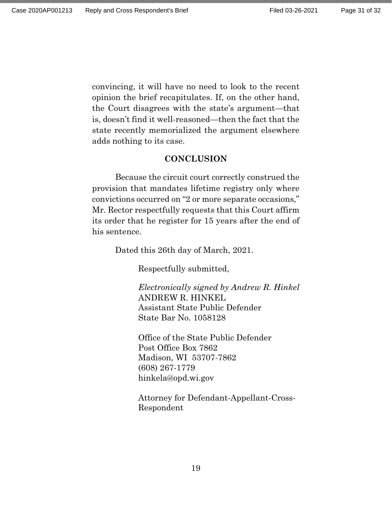convincing, it will have no need to look to the recent opinion the brief recapitulates. If, on the other hand, the Court disagrees with the state's argument—that is, doesn't find it well-reasoned—then the fact that the state recently memorialized the argument elsewhere adds nothing to its case.

#### **CONCLUSION**

Because the circuit court correctly construed the provision that mandates lifetime registry only where convictions occurred on "2 or more separate occasions," Mr. Rector respectfully requests that this Court affirm its order that he register for 15 years after the end of his sentence.

Dated this 26th day of March, 2021.

Respectfully submitted,

*Electronically signed by Andrew R. Hinkel* ANDREW R. HINKEL Assistant State Public Defender State Bar No. 1058128

Office of the State Public Defender Post Office Box 7862 Madison, WI 53707-7862 (608) 267-1779 hinkela@opd.wi.gov

Attorney for Defendant-Appellant-Cross-Respondent